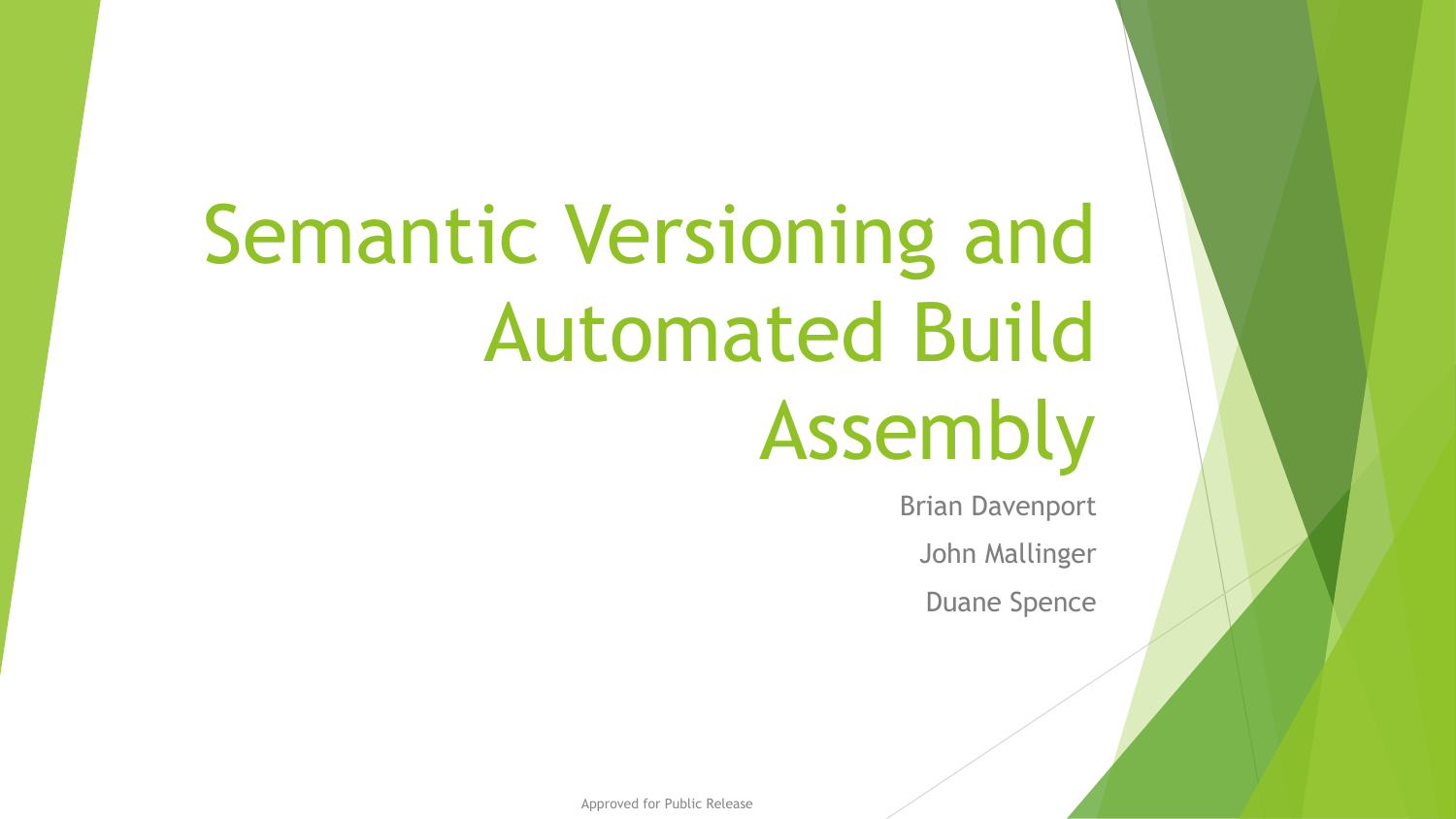# Semantic Versioning and Automated Build Assembly

Brian Davenport

John Mallinger

Duane Spence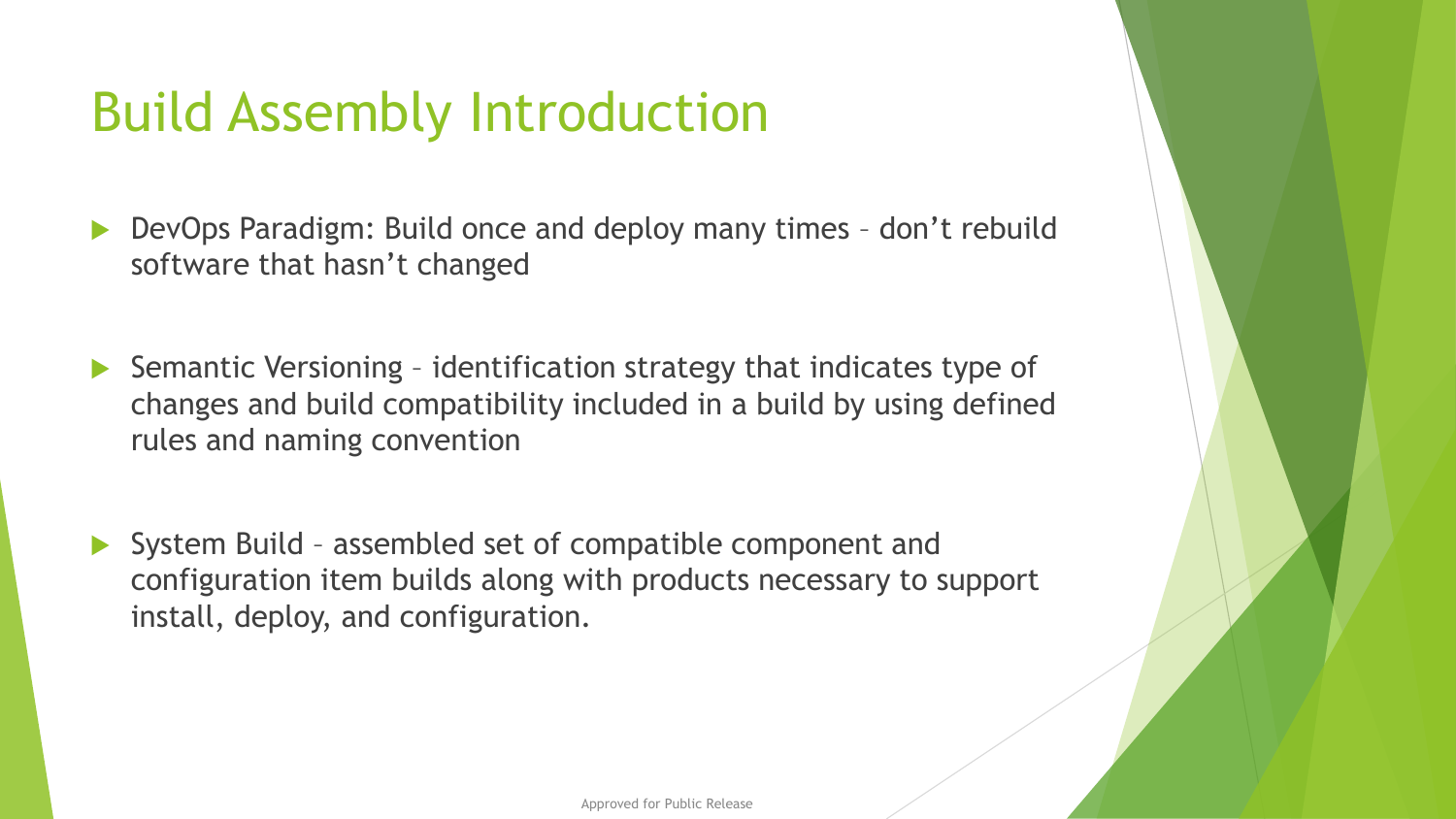### Build Assembly Introduction

- DevOps Paradigm: Build once and deploy many times don't rebuild software that hasn't changed
- ▶ Semantic Versioning identification strategy that indicates type of changes and build compatibility included in a build by using defined rules and naming convention
- ▶ System Build assembled set of compatible component and configuration item builds along with products necessary to support install, deploy, and configuration.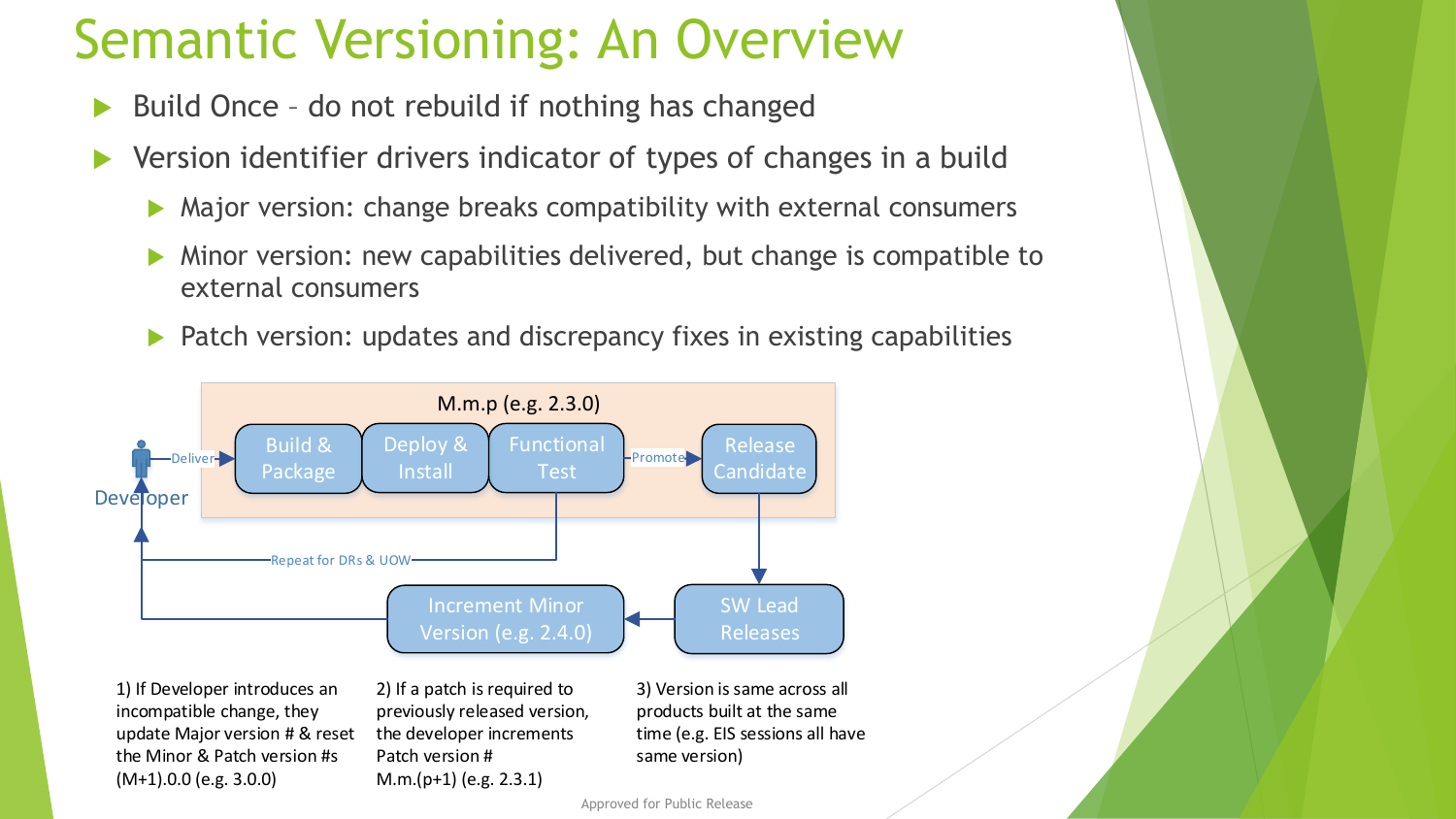### Semantic Versioning: An Overview

- Build Once do not rebuild if nothing has changed
- Version identifier drivers indicator of types of changes in a build
	- Major version: change breaks compatibility with external consumers
	- Minor version: new capabilities delivered, but change is compatible to external consumers
	- **Patch version: updates and discrepancy fixes in existing capabilities**



1) If Developer introduces an incompatible change, they update Major version # & reset the Minor & Patch version #s (M+1).0.0 (e.g. 3.0.0)

2) If a patch is required to previously released version, the developer increments Patch version # M.m.(p+1) (e.g. 2.3.1)

3) Version is same across all products built at the same time (e.g. EIS sessions all have same version)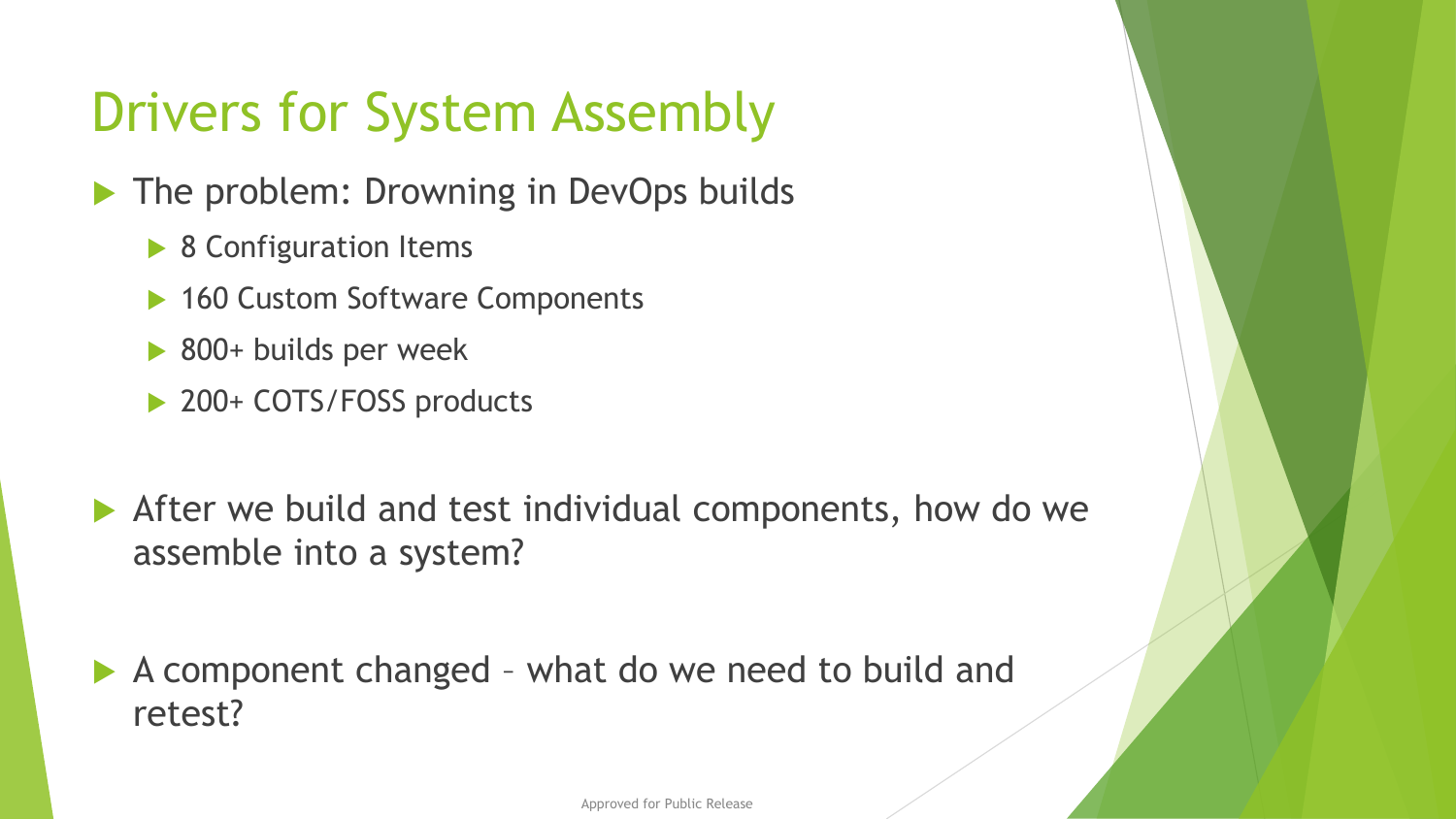### Drivers for System Assembly

The problem: Drowning in DevOps builds

- ▶ 8 Configuration Items
- ▶ 160 Custom Software Components
- ▶ 800+ builds per week
- ▶ 200+ COTS/FOSS products
- After we build and test individual components, how do we assemble into a system?

 A component changed – what do we need to build and retest?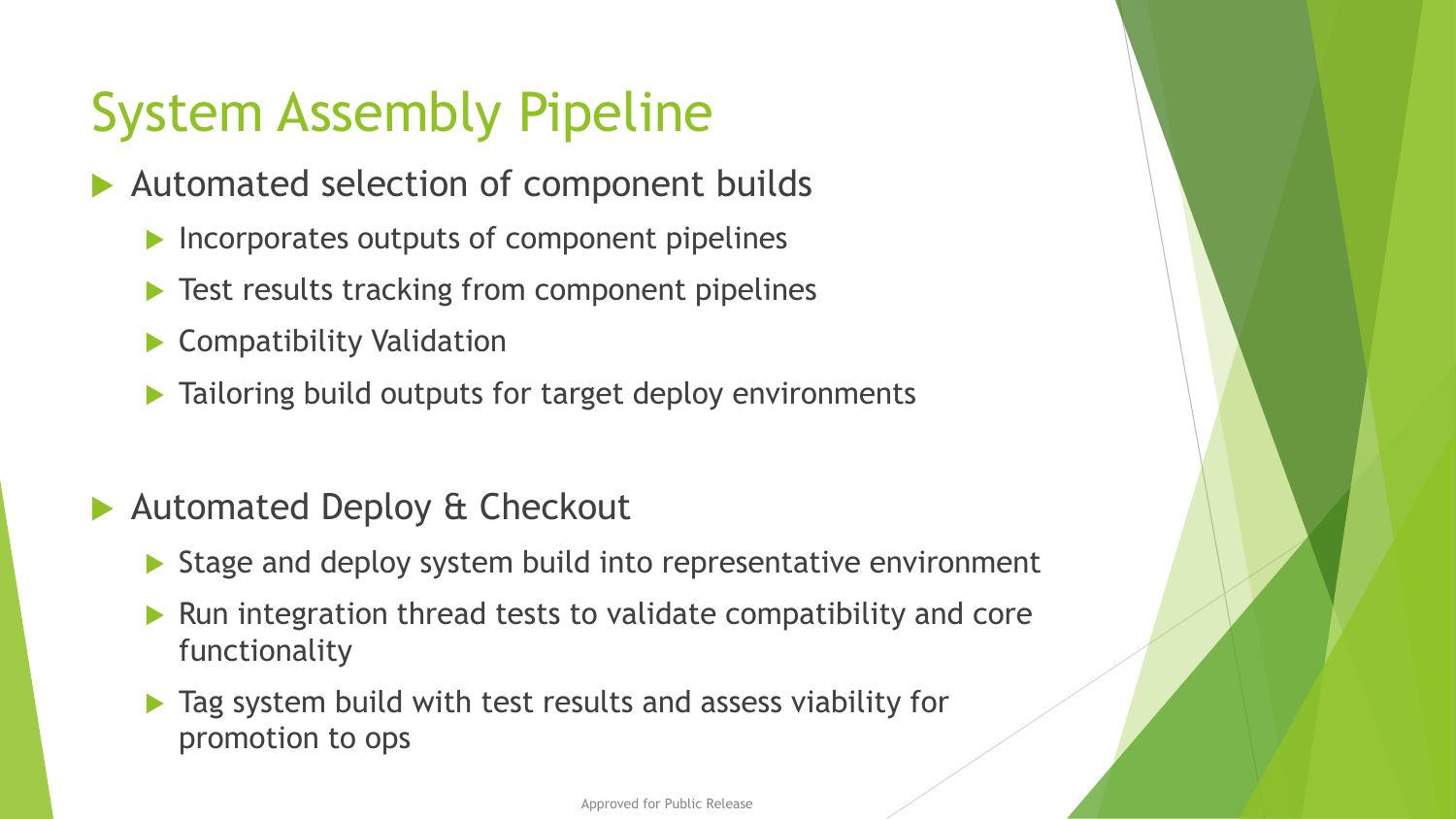### System Assembly Pipeline

- Automated selection of component builds
	- $\blacktriangleright$  Incorporates outputs of component pipelines
	- **Test results tracking from component pipelines**
	- ▶ Compatibility Validation
	- $\blacktriangleright$  Tailoring build outputs for target deploy environments
- Automated Deploy & Checkout
	- ▶ Stage and deploy system build into representative environment
	- $\blacktriangleright$  Run integration thread tests to validate compatibility and core functionality
	- $\blacktriangleright$  Tag system build with test results and assess viability for promotion to ops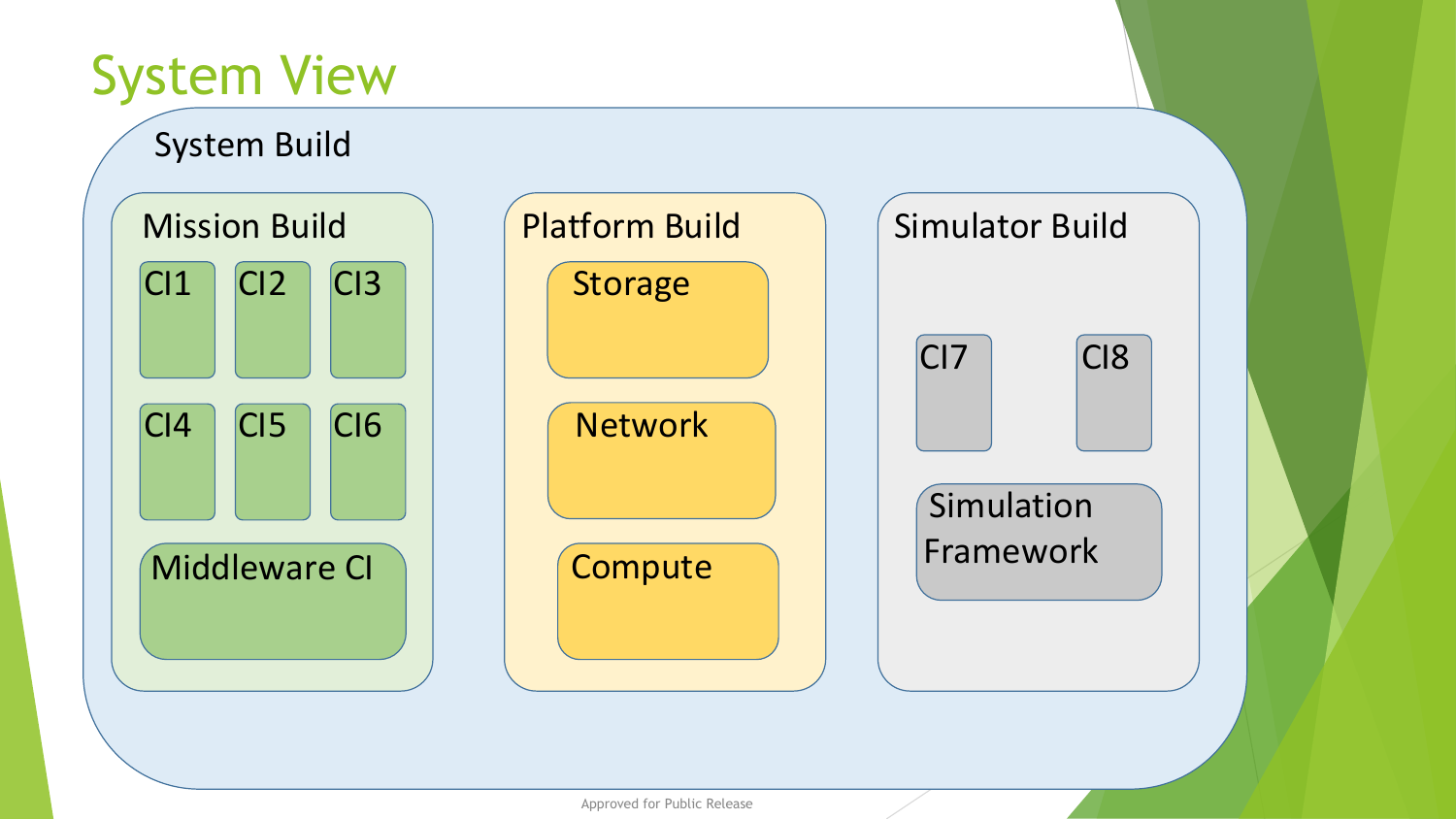# System View

System Build

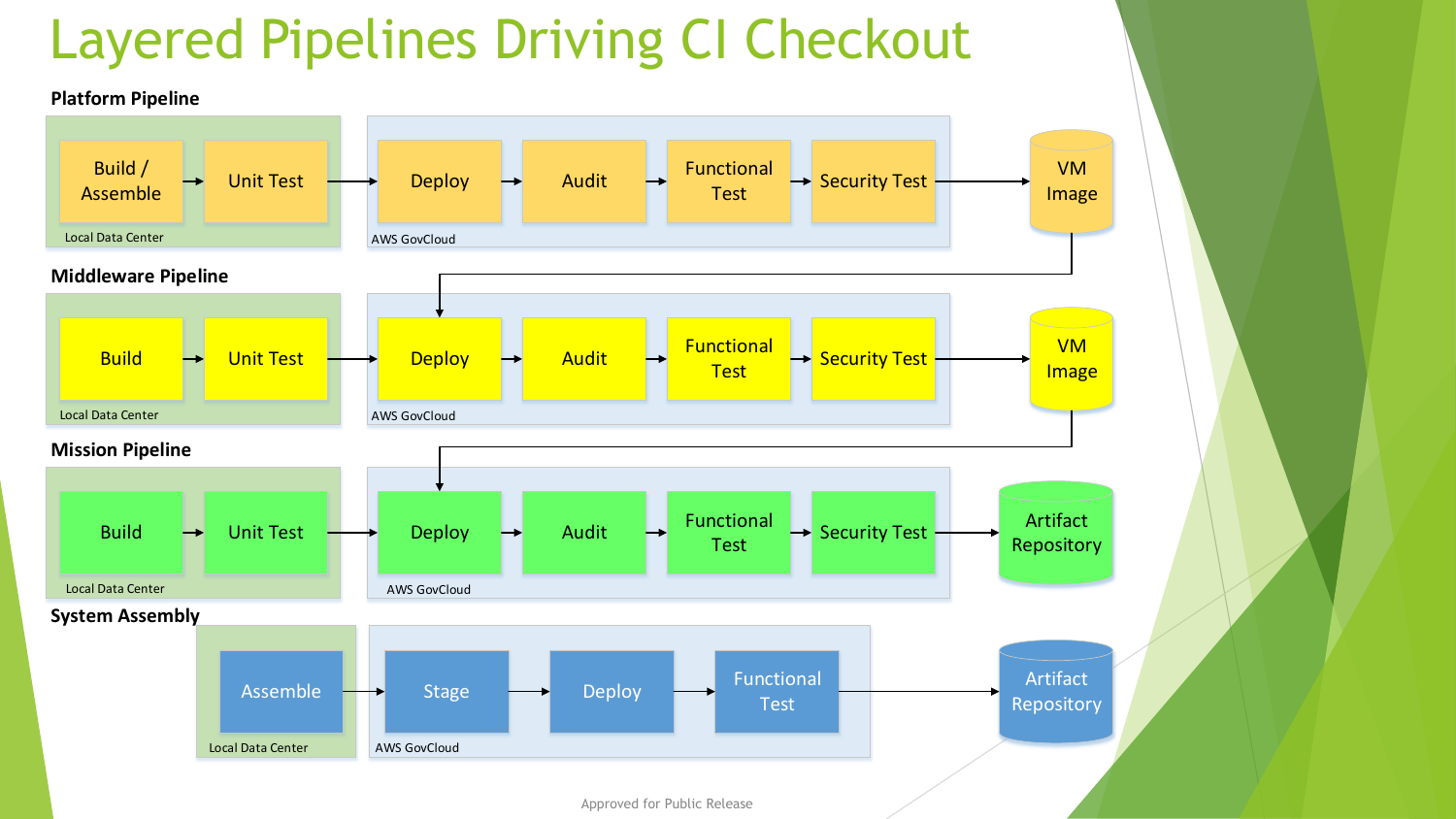### Layered Pipelines Driving CI Checkout

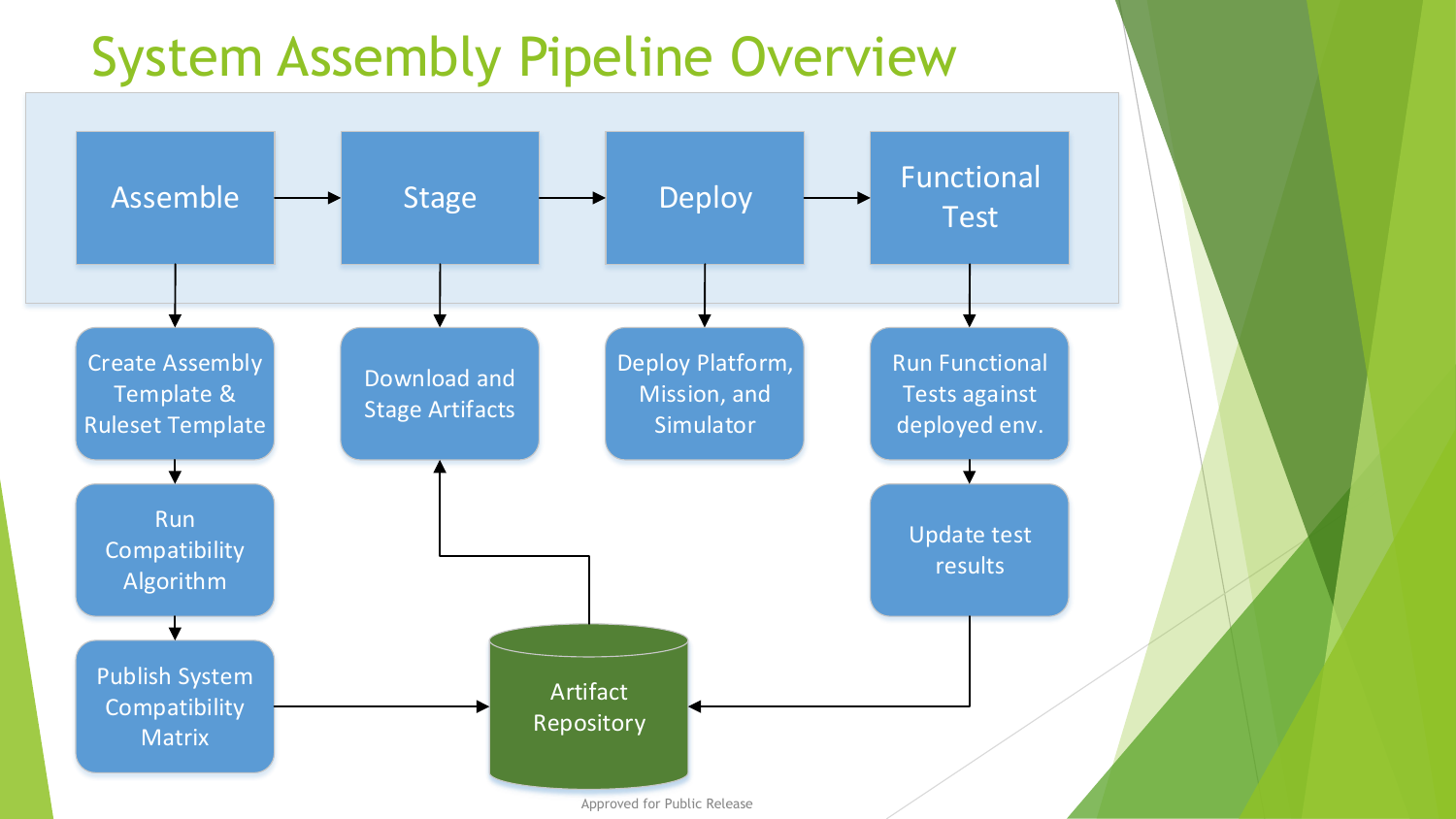### System Assembly Pipeline Overview

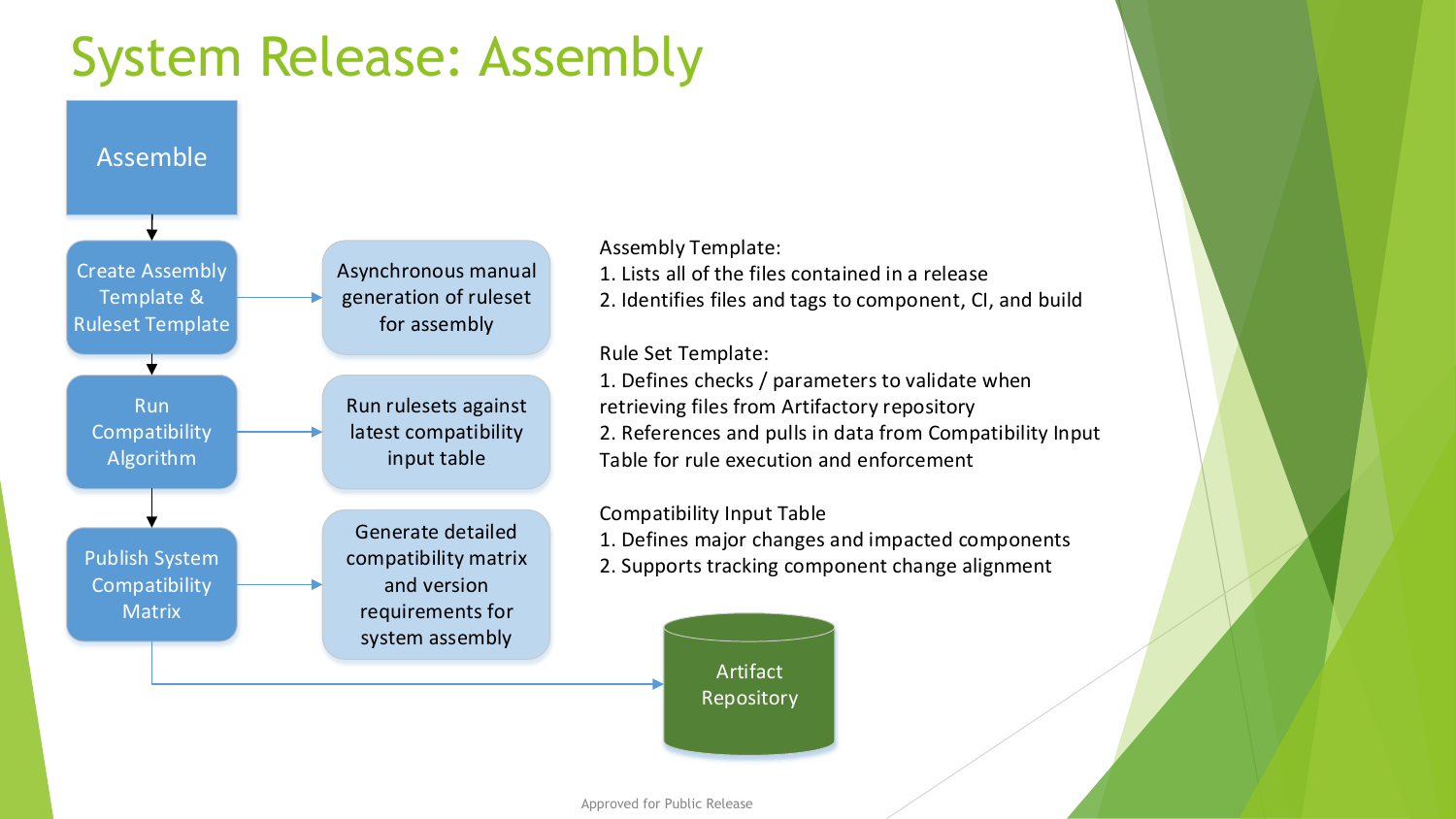### System Release: Assembly



#### Assembly Template:

- 1. Lists all of the files contained in a release
- 2. Identifies files and tags to component, CI, and build

#### Rule Set Template:

1. Defines checks / parameters to validate when retrieving files from Artifactory repository 2. References and pulls in data from Compatibility Input Table for rule execution and enforcement

#### Compatibility Input Table

- 1. Defines major changes and impacted components
- 2. Supports tracking component change alignment

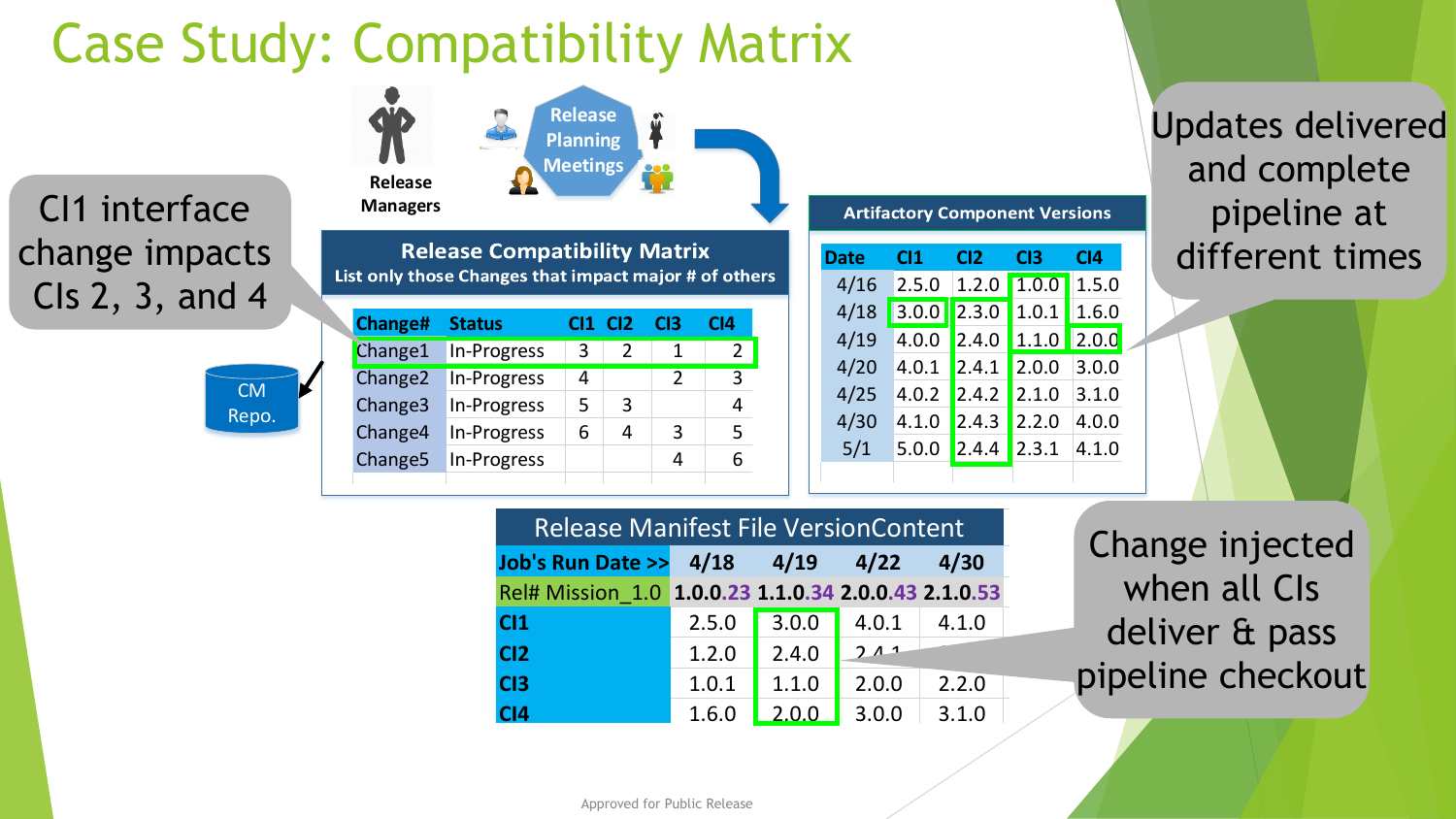# Case Study: Compatibility Matrix

### CI1 interface change impacts CIs 2, 3, and 4



| Release<br><b>Managers</b>                                                                   |                     |               | <b>Release</b><br><b>Planning</b><br><b>Meetings</b> |                |                 |                 |  |
|----------------------------------------------------------------------------------------------|---------------------|---------------|------------------------------------------------------|----------------|-----------------|-----------------|--|
| <b>Release Compatibility Matrix</b><br>List only those Changes that impact major # of others |                     |               |                                                      |                |                 |                 |  |
|                                                                                              | <b>Change#</b>      | <b>Status</b> |                                                      | CI2            | C <sub>13</sub> | C <sub>14</sub> |  |
|                                                                                              | Change1             | In-Progress   | 3                                                    | $\overline{2}$ | 1               | 2               |  |
|                                                                                              | Change <sub>2</sub> | In-Progress   | 4                                                    |                | $\overline{2}$  | 3               |  |

Change3 In-Progress  $5 \mid 3 \mid$  4 Change 4 In-Progress  $6 \mid 4 \mid 3 \mid 5$ Change5 In-Progress 4 4 6

| <b>Artifactory Component Versions</b> |                 |                 |                 |       |  |  |  |  |
|---------------------------------------|-----------------|-----------------|-----------------|-------|--|--|--|--|
| <b>Date</b>                           | C <sub>11</sub> | C <sub>12</sub> | C <sub>13</sub> | CI4   |  |  |  |  |
| 4/16                                  | 2.5.0           | 1.2.0           | 1.0.0           | 1.5.0 |  |  |  |  |
| 4/18                                  | 3.0.0           | 2.3.0           | 1.0.1           | 1.6.0 |  |  |  |  |
| 4/19                                  | 4.0.0           | 2.4.0           | 1.1.0           | 2.0.0 |  |  |  |  |
| 4/20                                  | 4.0.1           | 2.4.1           | 2.0.0           | 3.0.0 |  |  |  |  |
| 4/25                                  | 4.0.2           | 2.4.2           | 2.1.0           | 3.1.0 |  |  |  |  |
| 4/30                                  | 4.1.0           | 2.4.3           | 2.2.0           | 4.0.0 |  |  |  |  |
| 5/1                                   | 5.0.0           | 2.4.4           | 2.3.1           | 4.1.0 |  |  |  |  |
|                                       |                 |                 |                 |       |  |  |  |  |

### Updates delivered and complete pipeline at different times

| <b>Release Manifest File VersionContent</b>          |       |                |       |       |  |  |  |  |
|------------------------------------------------------|-------|----------------|-------|-------|--|--|--|--|
| Job's Run Date >> 4/18 4/19 4/22 4/30                |       |                |       |       |  |  |  |  |
| Rel# Mission 1.0 1.0.0.23 1.1.0.34 2.0.0.43 2.1.0.53 |       |                |       |       |  |  |  |  |
| C <sub>11</sub>                                      | 2.5.0 | 3.0.0          | 4.0.1 | 4.1.0 |  |  |  |  |
| CI2                                                  | 1.2.0 | 2.4.0          | 211   |       |  |  |  |  |
| C <sub>13</sub>                                      | 1.0.1 | 1.1.0          | 2.0.0 | 2.2.0 |  |  |  |  |
| C <sub>14</sub>                                      | 1.6.0 | $\sqrt{2.0.0}$ | 3.0.0 | 3.1.0 |  |  |  |  |

Change injected when all CIs deliver & pass pipeline checkout

Approved for Public Release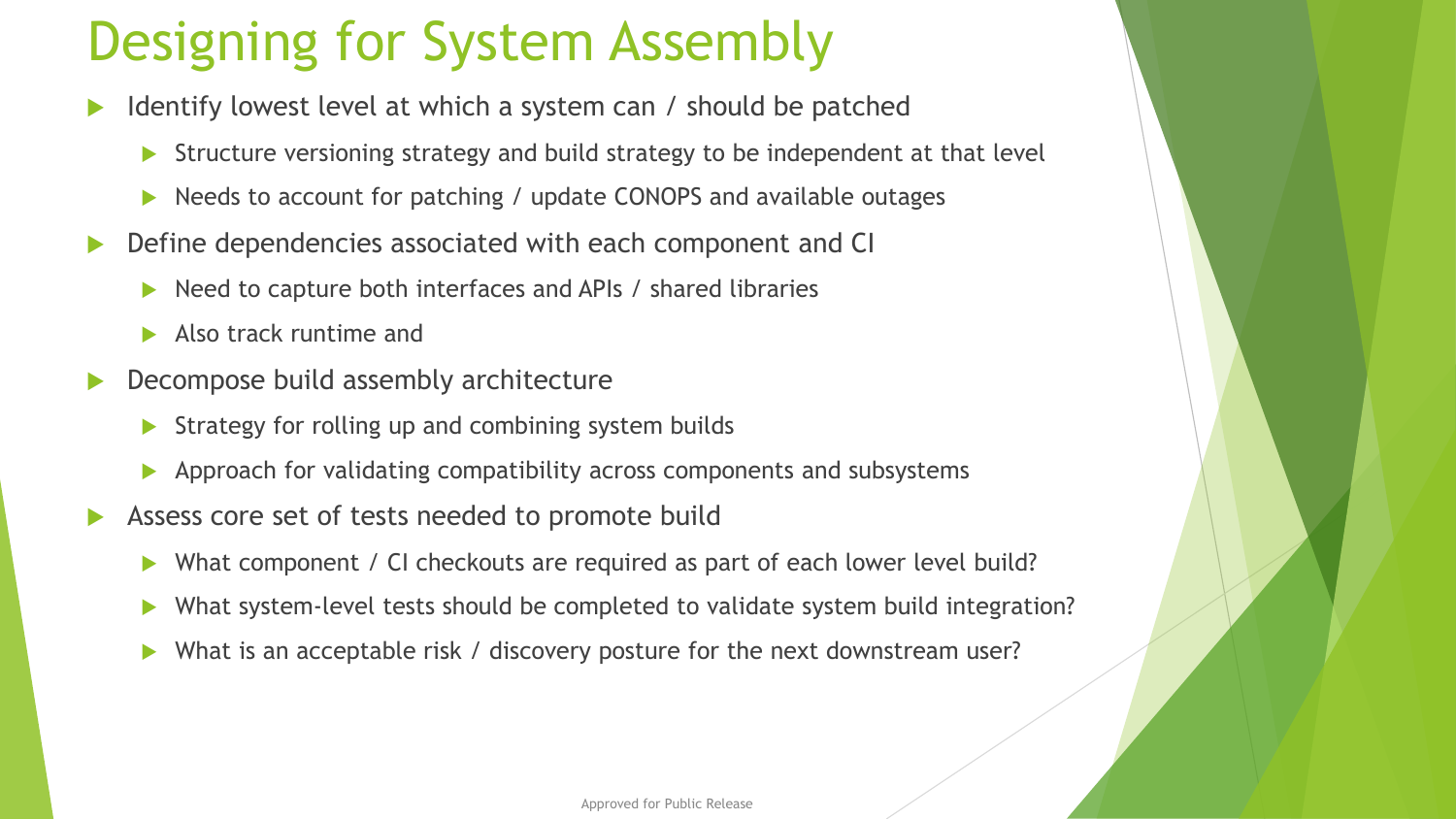### Designing for System Assembly

- Identify lowest level at which a system can / should be patched
	- Structure versioning strategy and build strategy to be independent at that level
	- ▶ Needs to account for patching / update CONOPS and available outages
- **Define dependencies associated with each component and CI** 
	- Need to capture both interfaces and APIs / shared libraries
	- Also track runtime and
- ▶ Decompose build assembly architecture
	- Strategy for rolling up and combining system builds
	- Approach for validating compatibility across components and subsystems
- Assess core set of tests needed to promote build
	- ▶ What component / CI checkouts are required as part of each lower level build?
	- ▶ What system-level tests should be completed to validate system build integration?
	- What is an acceptable risk / discovery posture for the next downstream user?